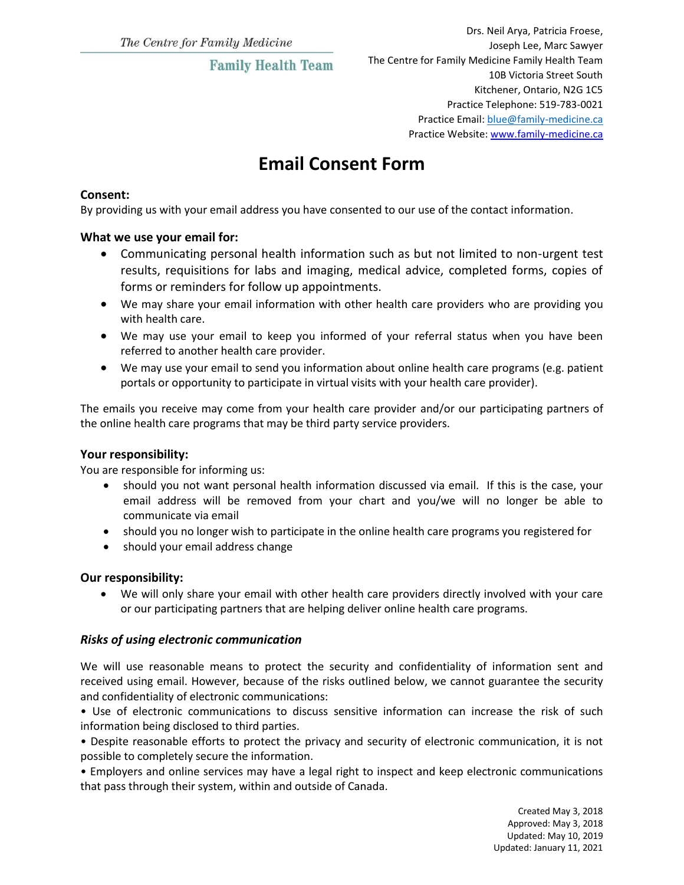## **Family Health Team**

# **Email Consent Form**

#### **Consent:**

By providing us with your email address you have consented to our use of the contact information.

#### **What we use your email for:**

- Communicating personal health information such as but not limited to non-urgent test results, requisitions for labs and imaging, medical advice, completed forms, copies of forms or reminders for follow up appointments.
- We may share your email information with other health care providers who are providing you with health care.
- We may use your email to keep you informed of your referral status when you have been referred to another health care provider.
- We may use your email to send you information about online health care programs (e.g. patient portals or opportunity to participate in virtual visits with your health care provider).

The emails you receive may come from your health care provider and/or our participating partners of the online health care programs that may be third party service providers.

#### **Your responsibility:**

You are responsible for informing us:

- should you not want personal health information discussed via email. If this is the case, your email address will be removed from your chart and you/we will no longer be able to communicate via email
- should you no longer wish to participate in the online health care programs you registered for
- should your email address change

#### **Our responsibility:**

 We will only share your email with other health care providers directly involved with your care or our participating partners that are helping deliver online health care programs.

#### *Risks of using electronic communication*

We will use reasonable means to protect the security and confidentiality of information sent and received using email. However, because of the risks outlined below, we cannot guarantee the security and confidentiality of electronic communications:

• Use of electronic communications to discuss sensitive information can increase the risk of such information being disclosed to third parties.

• Despite reasonable efforts to protect the privacy and security of electronic communication, it is not possible to completely secure the information.

• Employers and online services may have a legal right to inspect and keep electronic communications that pass through their system, within and outside of Canada.